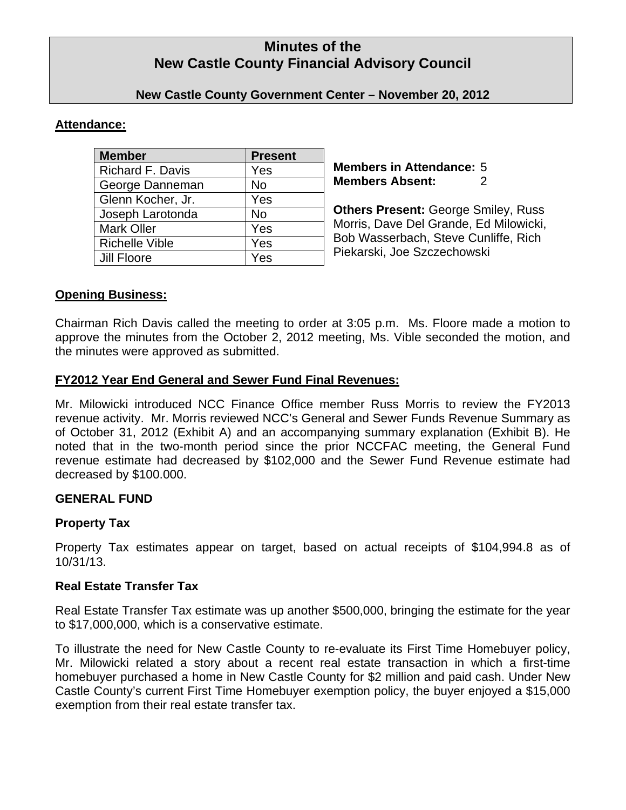# **Minutes of the New Castle County Financial Advisory Council**

### **New Castle County Government Center – November 20, 2012**

### **Attendance:**

| <b>Member</b>           | <b>Present</b> |
|-------------------------|----------------|
| <b>Richard F. Davis</b> | Yes            |
| George Danneman         | No             |
| Glenn Kocher, Jr.       | Yes            |
| Joseph Larotonda        | <b>No</b>      |
| <b>Mark Oller</b>       | Yes            |
| <b>Richelle Vible</b>   | Yes            |
| Jill Floore             | Yes            |

**Members in Attendance:** 5 **Members Absent:** 2

**Others Present:** George Smiley, Russ Morris, Dave Del Grande, Ed Milowicki, Bob Wasserbach, Steve Cunliffe, Rich Piekarski, Joe Szczechowski

### **Opening Business:**

Chairman Rich Davis called the meeting to order at 3:05 p.m. Ms. Floore made a motion to approve the minutes from the October 2, 2012 meeting, Ms. Vible seconded the motion, and the minutes were approved as submitted.

#### **FY2012 Year End General and Sewer Fund Final Revenues:**

Mr. Milowicki introduced NCC Finance Office member Russ Morris to review the FY2013 revenue activity. Mr. Morris reviewed NCC's General and Sewer Funds Revenue Summary as of October 31, 2012 (Exhibit A) and an accompanying summary explanation (Exhibit B). He noted that in the two-month period since the prior NCCFAC meeting, the General Fund revenue estimate had decreased by \$102,000 and the Sewer Fund Revenue estimate had decreased by \$100.000.

#### **GENERAL FUND**

#### **Property Tax**

Property Tax estimates appear on target, based on actual receipts of \$104,994.8 as of 10/31/13.

#### **Real Estate Transfer Tax**

Real Estate Transfer Tax estimate was up another \$500,000, bringing the estimate for the year to \$17,000,000, which is a conservative estimate.

To illustrate the need for New Castle County to re-evaluate its First Time Homebuyer policy, Mr. Milowicki related a story about a recent real estate transaction in which a first-time homebuyer purchased a home in New Castle County for \$2 million and paid cash. Under New Castle County's current First Time Homebuyer exemption policy, the buyer enjoyed a \$15,000 exemption from their real estate transfer tax.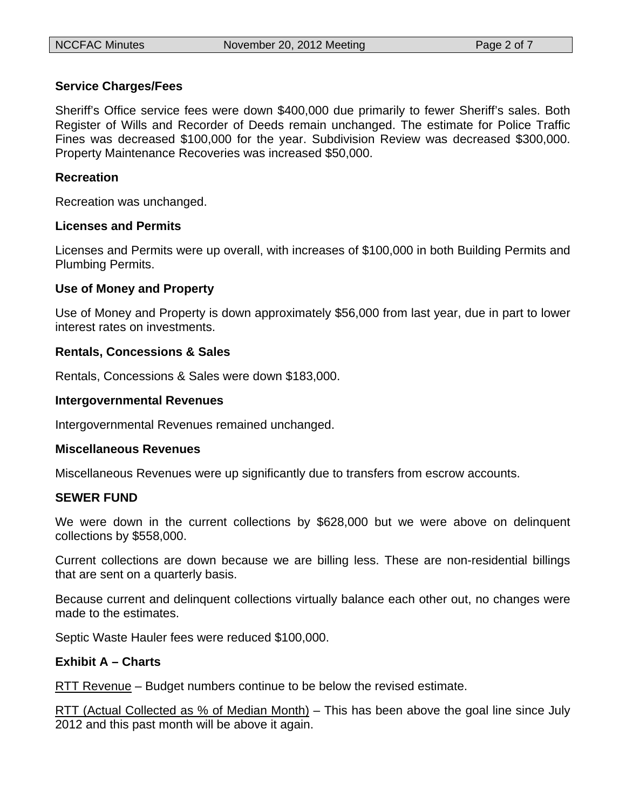### **Service Charges/Fees**

Sheriff's Office service fees were down \$400,000 due primarily to fewer Sheriff's sales. Both Register of Wills and Recorder of Deeds remain unchanged. The estimate for Police Traffic Fines was decreased \$100,000 for the year. Subdivision Review was decreased \$300,000. Property Maintenance Recoveries was increased \$50,000.

### **Recreation**

Recreation was unchanged.

#### **Licenses and Permits**

Licenses and Permits were up overall, with increases of \$100,000 in both Building Permits and Plumbing Permits.

#### **Use of Money and Property**

Use of Money and Property is down approximately \$56,000 from last year, due in part to lower interest rates on investments.

#### **Rentals, Concessions & Sales**

Rentals, Concessions & Sales were down \$183,000.

#### **Intergovernmental Revenues**

Intergovernmental Revenues remained unchanged.

#### **Miscellaneous Revenues**

Miscellaneous Revenues were up significantly due to transfers from escrow accounts.

#### **SEWER FUND**

We were down in the current collections by \$628,000 but we were above on delinquent collections by \$558,000.

Current collections are down because we are billing less. These are non-residential billings that are sent on a quarterly basis.

Because current and delinquent collections virtually balance each other out, no changes were made to the estimates.

Septic Waste Hauler fees were reduced \$100,000.

#### **Exhibit A – Charts**

RTT Revenue – Budget numbers continue to be below the revised estimate.

RTT (Actual Collected as % of Median Month) – This has been above the goal line since July 2012 and this past month will be above it again.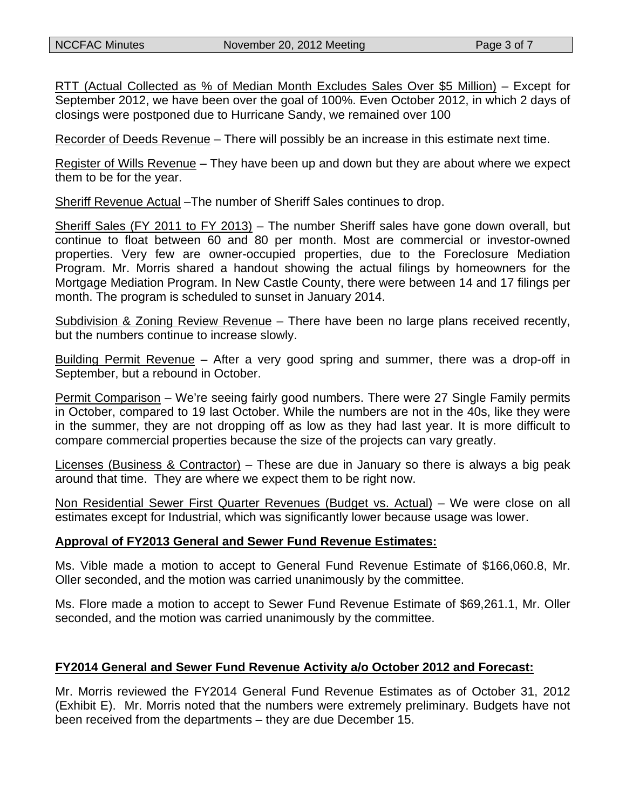RTT (Actual Collected as % of Median Month Excludes Sales Over \$5 Million) – Except for September 2012, we have been over the goal of 100%. Even October 2012, in which 2 days of closings were postponed due to Hurricane Sandy, we remained over 100

Recorder of Deeds Revenue – There will possibly be an increase in this estimate next time.

Register of Wills Revenue – They have been up and down but they are about where we expect them to be for the year.

Sheriff Revenue Actual –The number of Sheriff Sales continues to drop.

Sheriff Sales (FY 2011 to FY 2013) – The number Sheriff sales have gone down overall, but continue to float between 60 and 80 per month. Most are commercial or investor-owned properties. Very few are owner-occupied properties, due to the Foreclosure Mediation Program. Mr. Morris shared a handout showing the actual filings by homeowners for the Mortgage Mediation Program. In New Castle County, there were between 14 and 17 filings per month. The program is scheduled to sunset in January 2014.

Subdivision & Zoning Review Revenue – There have been no large plans received recently, but the numbers continue to increase slowly.

Building Permit Revenue – After a very good spring and summer, there was a drop-off in September, but a rebound in October.

Permit Comparison – We're seeing fairly good numbers. There were 27 Single Family permits in October, compared to 19 last October. While the numbers are not in the 40s, like they were in the summer, they are not dropping off as low as they had last year. It is more difficult to compare commercial properties because the size of the projects can vary greatly.

Licenses (Business & Contractor) – These are due in January so there is always a big peak around that time. They are where we expect them to be right now.

Non Residential Sewer First Quarter Revenues (Budget vs. Actual) – We were close on all estimates except for Industrial, which was significantly lower because usage was lower.

#### **Approval of FY2013 General and Sewer Fund Revenue Estimates:**

Ms. Vible made a motion to accept to General Fund Revenue Estimate of \$166,060.8, Mr. Oller seconded, and the motion was carried unanimously by the committee.

Ms. Flore made a motion to accept to Sewer Fund Revenue Estimate of \$69,261.1, Mr. Oller seconded, and the motion was carried unanimously by the committee.

#### **FY2014 General and Sewer Fund Revenue Activity a/o October 2012 and Forecast:**

Mr. Morris reviewed the FY2014 General Fund Revenue Estimates as of October 31, 2012 (Exhibit E). Mr. Morris noted that the numbers were extremely preliminary. Budgets have not been received from the departments – they are due December 15.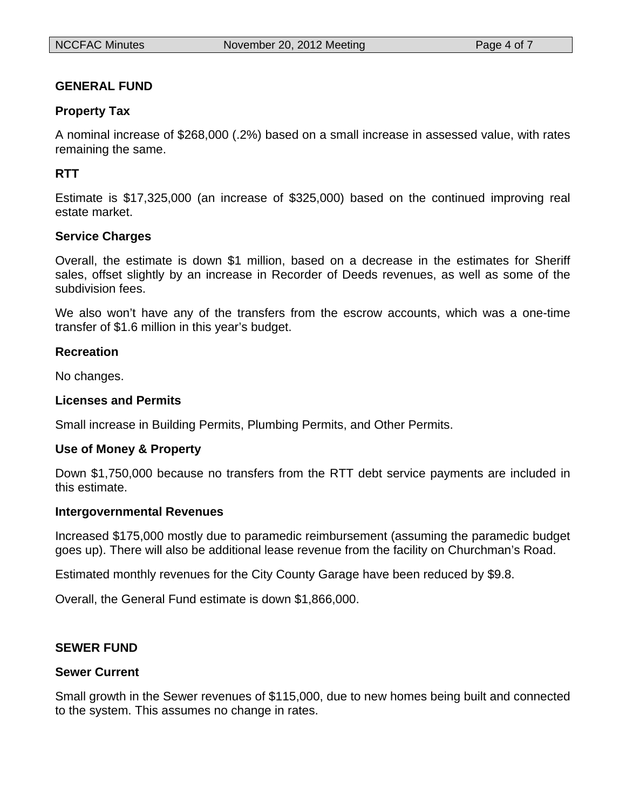### **GENERAL FUND**

### **Property Tax**

A nominal increase of \$268,000 (.2%) based on a small increase in assessed value, with rates remaining the same.

### **RTT**

Estimate is \$17,325,000 (an increase of \$325,000) based on the continued improving real estate market.

#### **Service Charges**

Overall, the estimate is down \$1 million, based on a decrease in the estimates for Sheriff sales, offset slightly by an increase in Recorder of Deeds revenues, as well as some of the subdivision fees.

We also won't have any of the transfers from the escrow accounts, which was a one-time transfer of \$1.6 million in this year's budget.

#### **Recreation**

No changes.

#### **Licenses and Permits**

Small increase in Building Permits, Plumbing Permits, and Other Permits.

#### **Use of Money & Property**

Down \$1,750,000 because no transfers from the RTT debt service payments are included in this estimate.

#### **Intergovernmental Revenues**

Increased \$175,000 mostly due to paramedic reimbursement (assuming the paramedic budget goes up). There will also be additional lease revenue from the facility on Churchman's Road.

Estimated monthly revenues for the City County Garage have been reduced by \$9.8.

Overall, the General Fund estimate is down \$1,866,000.

### **SEWER FUND**

#### **Sewer Current**

Small growth in the Sewer revenues of \$115,000, due to new homes being built and connected to the system. This assumes no change in rates.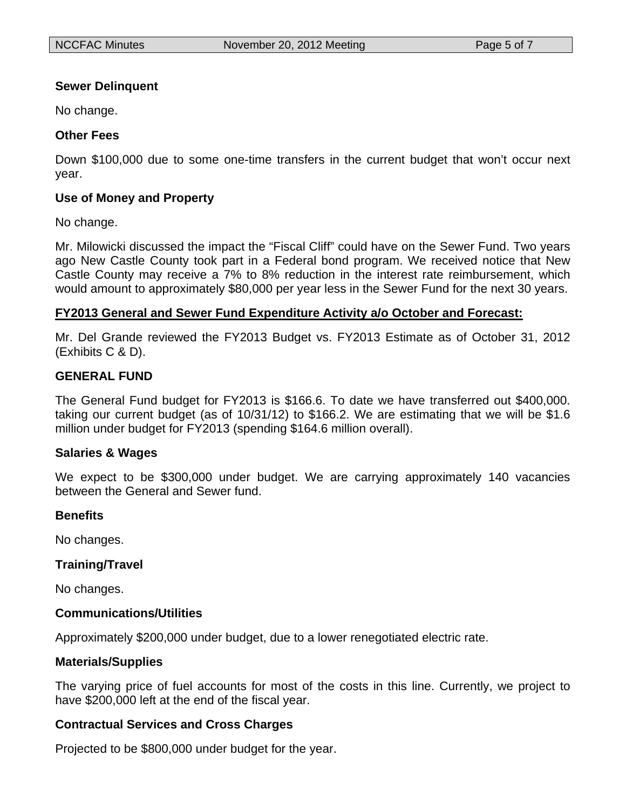### **Sewer Delinquent**

No change.

### **Other Fees**

Down \$100,000 due to some one-time transfers in the current budget that won't occur next year.

### **Use of Money and Property**

No change.

Mr. Milowicki discussed the impact the "Fiscal Cliff" could have on the Sewer Fund. Two years ago New Castle County took part in a Federal bond program. We received notice that New Castle County may receive a 7% to 8% reduction in the interest rate reimbursement, which would amount to approximately \$80,000 per year less in the Sewer Fund for the next 30 years.

#### **FY2013 General and Sewer Fund Expenditure Activity a/o October and Forecast:**

Mr. Del Grande reviewed the FY2013 Budget vs. FY2013 Estimate as of October 31, 2012 (Exhibits C & D).

### **GENERAL FUND**

The General Fund budget for FY2013 is \$166.6. To date we have transferred out \$400,000. taking our current budget (as of 10/31/12) to \$166.2. We are estimating that we will be \$1.6 million under budget for FY2013 (spending \$164.6 million overall).

#### **Salaries & Wages**

We expect to be \$300,000 under budget. We are carrying approximately 140 vacancies between the General and Sewer fund.

#### **Benefits**

No changes.

#### **Training/Travel**

No changes.

#### **Communications/Utilities**

Approximately \$200,000 under budget, due to a lower renegotiated electric rate.

#### **Materials/Supplies**

The varying price of fuel accounts for most of the costs in this line. Currently, we project to have \$200,000 left at the end of the fiscal year.

#### **Contractual Services and Cross Charges**

Projected to be \$800,000 under budget for the year.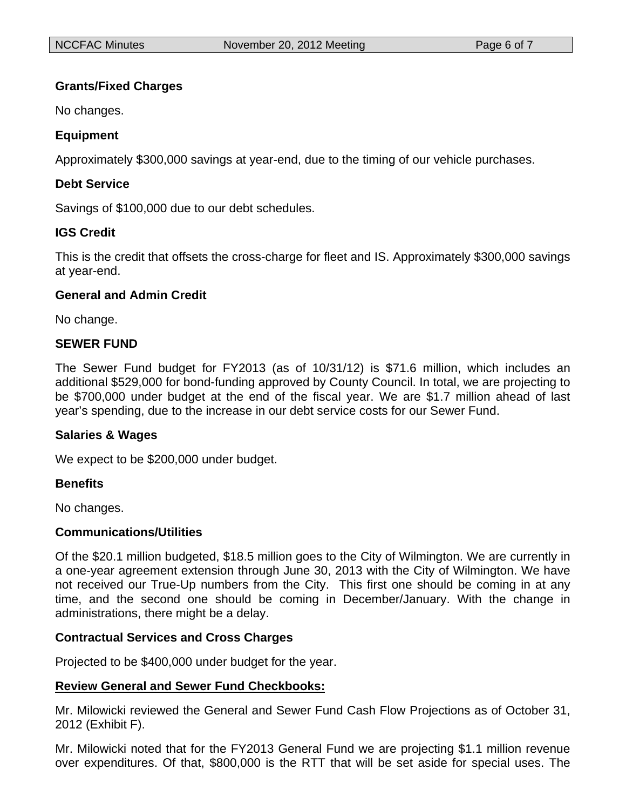## **Grants/Fixed Charges**

No changes.

## **Equipment**

Approximately \$300,000 savings at year-end, due to the timing of our vehicle purchases.

## **Debt Service**

Savings of \$100,000 due to our debt schedules.

## **IGS Credit**

This is the credit that offsets the cross-charge for fleet and IS. Approximately \$300,000 savings at year-end.

## **General and Admin Credit**

No change.

## **SEWER FUND**

The Sewer Fund budget for FY2013 (as of 10/31/12) is \$71.6 million, which includes an additional \$529,000 for bond-funding approved by County Council. In total, we are projecting to be \$700,000 under budget at the end of the fiscal year. We are \$1.7 million ahead of last year's spending, due to the increase in our debt service costs for our Sewer Fund.

## **Salaries & Wages**

We expect to be \$200,000 under budget.

## **Benefits**

No changes.

#### **Communications/Utilities**

Of the \$20.1 million budgeted, \$18.5 million goes to the City of Wilmington. We are currently in a one-year agreement extension through June 30, 2013 with the City of Wilmington. We have not received our True-Up numbers from the City. This first one should be coming in at any time, and the second one should be coming in December/January. With the change in administrations, there might be a delay.

## **Contractual Services and Cross Charges**

Projected to be \$400,000 under budget for the year.

## **Review General and Sewer Fund Checkbooks:**

Mr. Milowicki reviewed the General and Sewer Fund Cash Flow Projections as of October 31, 2012 (Exhibit F).

Mr. Milowicki noted that for the FY2013 General Fund we are projecting \$1.1 million revenue over expenditures. Of that, \$800,000 is the RTT that will be set aside for special uses. The